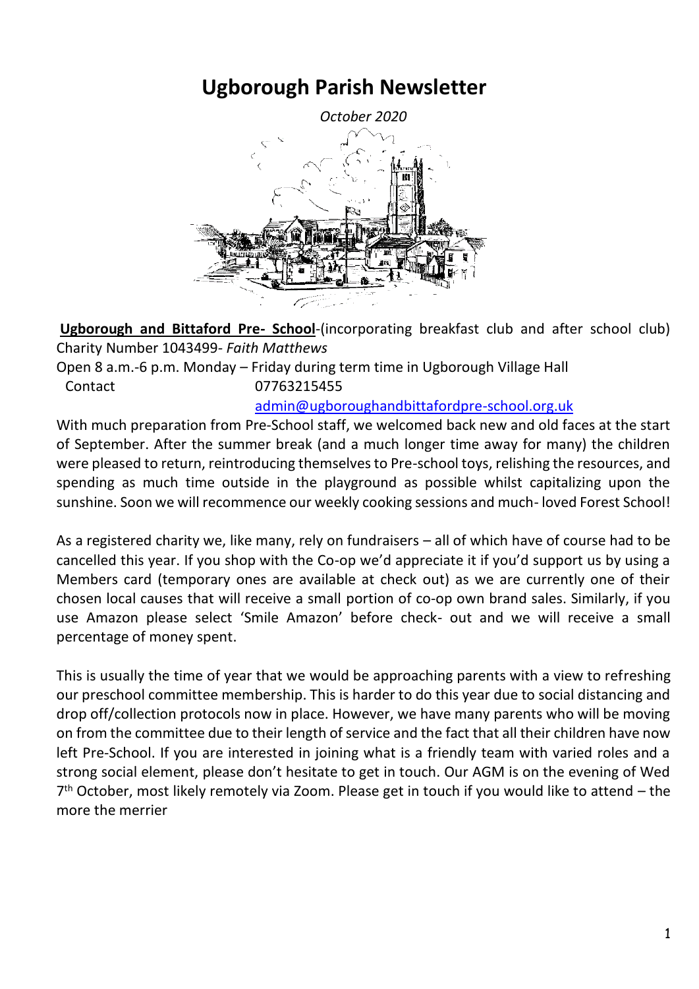# **Ugborough Parish Newsletter**



**Ugborough and Bittaford Pre- School**-(incorporating breakfast club and after school club) Charity Number 1043499*- Faith Matthews* Open 8 a.m.-6 p.m. Monday – Friday during term time in Ugborough Village Hall Contact 07763215455

#### [admin@ugboroughandbittafordpre-school.org.uk](https://d.docs.live.net/d1d00904bc4b66e8/Documents/newsletter/Ugborough%20Parish%20Newsletters%20for%202019/admin@ugboroughandbittafordpre-school.org.uk)

With much preparation from Pre-School staff, we welcomed back new and old faces at the start of September. After the summer break (and a much longer time away for many) the children were pleased to return, reintroducing themselves to Pre-school toys, relishing the resources, and spending as much time outside in the playground as possible whilst capitalizing upon the sunshine. Soon we will recommence our weekly cooking sessions and much- loved Forest School!

As a registered charity we, like many, rely on fundraisers – all of which have of course had to be cancelled this year. If you shop with the Co-op we'd appreciate it if you'd support us by using a Members card (temporary ones are available at check out) as we are currently one of their chosen local causes that will receive a small portion of co-op own brand sales. Similarly, if you use Amazon please select 'Smile Amazon' before check- out and we will receive a small percentage of money spent.

This is usually the time of year that we would be approaching parents with a view to refreshing our preschool committee membership. This is harder to do this year due to social distancing and drop off/collection protocols now in place. However, we have many parents who will be moving on from the committee due to their length of service and the fact that all their children have now left Pre-School. If you are interested in joining what is a friendly team with varied roles and a strong social element, please don't hesitate to get in touch. Our AGM is on the evening of Wed 7 th October, most likely remotely via Zoom. Please get in touch if you would like to attend – the more the merrier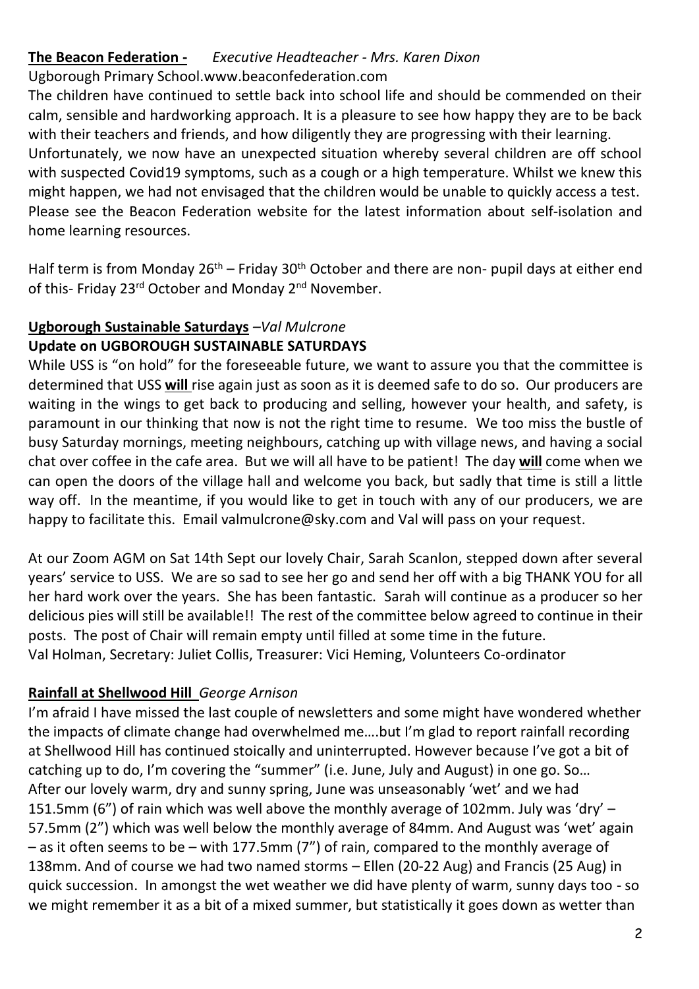#### **The Beacon Federation -** *Executive Headteacher - Mrs. Karen Dixon* Ugborough Primary School.www.beaconfederation.com

The children have continued to settle back into school life and should be commended on their calm, sensible and hardworking approach. It is a pleasure to see how happy they are to be back with their teachers and friends, and how diligently they are progressing with their learning. Unfortunately, we now have an unexpected situation whereby several children are off school with suspected Covid19 symptoms, such as a cough or a high temperature. Whilst we knew this might happen, we had not envisaged that the children would be unable to quickly access a test. Please see the Beacon Federation website for the latest information about self-isolation and home learning resources.

Half term is from Monday 26<sup>th</sup> – Friday 30<sup>th</sup> October and there are non- pupil days at either end of this- Friday 23<sup>rd</sup> October and Monday 2<sup>nd</sup> November.

#### **Ugborough Sustainable Saturdays** *–Val Mulcrone* **Update on UGBOROUGH SUSTAINABLE SATURDAYS**

While USS is "on hold" for the foreseeable future, we want to assure you that the committee is determined that USS **will** rise again just as soon as it is deemed safe to do so. Our producers are waiting in the wings to get back to producing and selling, however your health, and safety, is paramount in our thinking that now is not the right time to resume. We too miss the bustle of busy Saturday mornings, meeting neighbours, catching up with village news, and having a social chat over coffee in the cafe area. But we will all have to be patient! The day **will** come when we can open the doors of the village hall and welcome you back, but sadly that time is still a little way off. In the meantime, if you would like to get in touch with any of our producers, we are happy to facilitate this. Email [valmulcrone@sky.com](mailto:valmulcrone@sky.com) and Val will pass on your request.

At our Zoom AGM on Sat 14th Sept our lovely Chair, Sarah Scanlon, stepped down after several years' service to USS. We are so sad to see her go and send her off with a big THANK YOU for all her hard work over the years. She has been fantastic. Sarah will continue as a producer so her delicious pies will still be available!! The rest of the committee below agreed to continue in their posts. The post of Chair will remain empty until filled at some time in the future. Val Holman, Secretary: Juliet Collis, Treasurer: Vici Heming, Volunteers Co-ordinator

# **Rainfall at Shellwood Hill** *George Arnison*

I'm afraid I have missed the last couple of newsletters and some might have wondered whether the impacts of climate change had overwhelmed me….but I'm glad to report rainfall recording at Shellwood Hill has continued stoically and uninterrupted. However because I've got a bit of catching up to do, I'm covering the "summer" (i.e. June, July and August) in one go. So… After our lovely warm, dry and sunny spring, June was unseasonably 'wet' and we had 151.5mm (6") of rain which was well above the monthly average of 102mm. July was 'dry' – 57.5mm (2") which was well below the monthly average of 84mm. And August was 'wet' again – as it often seems to be – with 177.5mm (7") of rain, compared to the monthly average of 138mm. And of course we had two named storms – Ellen (20-22 Aug) and Francis (25 Aug) in quick succession. In amongst the wet weather we did have plenty of warm, sunny days too - so we might remember it as a bit of a mixed summer, but statistically it goes down as wetter than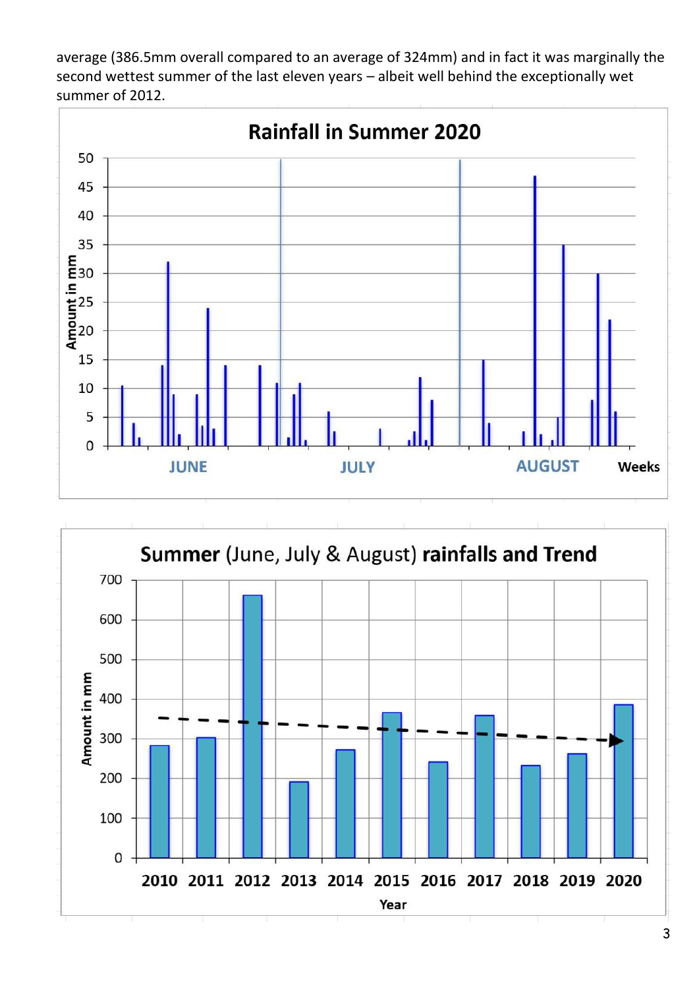average (386.5mm overall compared to an average of 324mm) and in fact it was marginally the second wettest summer of the last eleven years – albeit well behind the exceptionally wet summer of 2012.



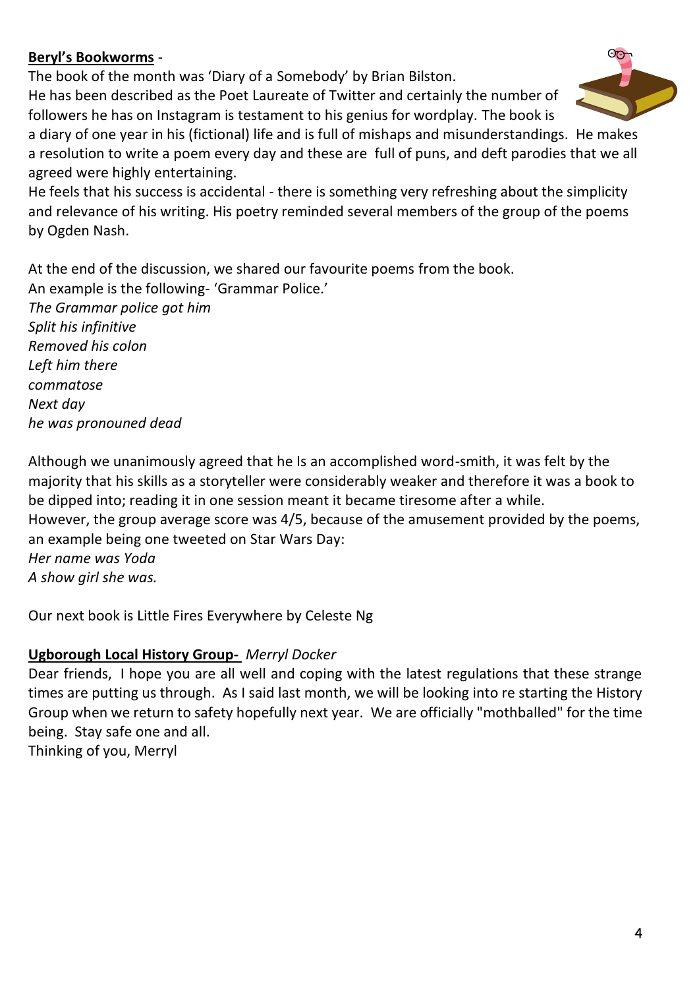# **Beryl's Bookworms** -

The book of the month was 'Diary of a Somebody' by Brian Bilston. He has been described as the Poet Laureate of Twitter and certainly the number of followers he has on Instagram is testament to his genius for wordplay. The book is



a diary of one year in his (fictional) life and is full of mishaps and misunderstandings. He makes a resolution to write a poem every day and these are full of puns, and deft parodies that we all agreed were highly entertaining.

He feels that his success is accidental - there is something very refreshing about the simplicity and relevance of his writing. His poetry reminded several members of the group of the poems by Ogden Nash.

At the end of the discussion, we shared our favourite poems from the book. An example is the following- 'Grammar Police.' *The Grammar police got him Split his infinitive Removed his colon Left him there commatose Next day he was pronouned dead*

Although we unanimously agreed that he Is an accomplished word-smith, it was felt by the majority that his skills as a storyteller were considerably weaker and therefore it was a book to be dipped into; reading it in one session meant it became tiresome after a while. However, the group average score was 4/5, because of the amusement provided by the poems, an example being one tweeted on Star Wars Day: *Her name was Yoda A show girl she was.*

Our next book is Little Fires Everywhere by Celeste Ng

# **Ugborough Local History Group-** *Merryl Docker*

Dear friends, I hope you are all well and coping with the latest regulations that these strange times are putting us through. As I said last month, we will be looking into re starting the History Group when we return to safety hopefully next year. We are officially "mothballed" for the time being. Stay safe one and all.

Thinking of you, Merryl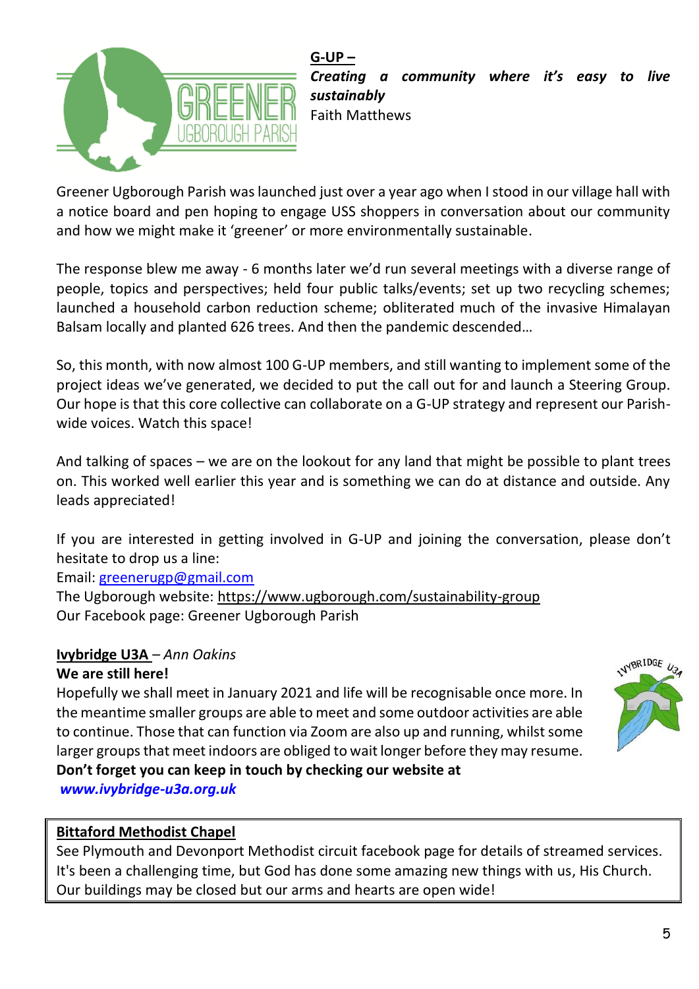

**G-UP –** *Creating a community where it's easy to live sustainably* Faith Matthews

Greener Ugborough Parish was launched just over a year ago when I stood in our village hall with a notice board and pen hoping to engage USS shoppers in conversation about our community and how we might make it 'greener' or more environmentally sustainable.

The response blew me away - 6 months later we'd run several meetings with a diverse range of people, topics and perspectives; held four public talks/events; set up two recycling schemes; launched a household carbon reduction scheme; obliterated much of the invasive Himalayan Balsam locally and planted 626 trees. And then the pandemic descended…

So, this month, with now almost 100 G-UP members, and still wanting to implement some of the project ideas we've generated, we decided to put the call out for and launch a Steering Group. Our hope is that this core collective can collaborate on a G-UP strategy and represent our Parishwide voices. Watch this space!

And talking of spaces – we are on the lookout for any land that might be possible to plant trees on. This worked well earlier this year and is something we can do at distance and outside. Any leads appreciated!

If you are interested in getting involved in G-UP and joining the conversation, please don't hesitate to drop us a line:

Email: [greenerugp@gmail.com](mailto:greenerugp@gmail.com)

The Ugborough website:<https://www.ugborough.com/sustainability-group> Our Facebook page: Greener Ugborough Parish

# **Ivybridge U3A** *– Ann Oakins*

# **We are still here!**

Hopefully we shall meet in January 2021 and life will be recognisable once more. In the meantime smaller groups are able to meet and some outdoor activities are able to continue. Those that can function via Zoom are also up and running, whilst some larger groups that meet indoors are obliged to wait longer before they may resume. **Don't forget you can keep in touch by checking our website at**



*[www.ivybridge-u3a.org.uk](https://d.docs.live.net/d1d00904bc4b66e8/Documents/newsletter/Ugborough%20Parish%20newsletters%20for%202020/August/www.ivybridge-u3a.org.uk)*

# **Bittaford Methodist Chapel**

See Plymouth and Devonport Methodist circuit facebook page for details of streamed services. It's been a challenging time, but God has done some amazing new things with us, His Church. Our buildings may be closed but our arms and hearts are open wide!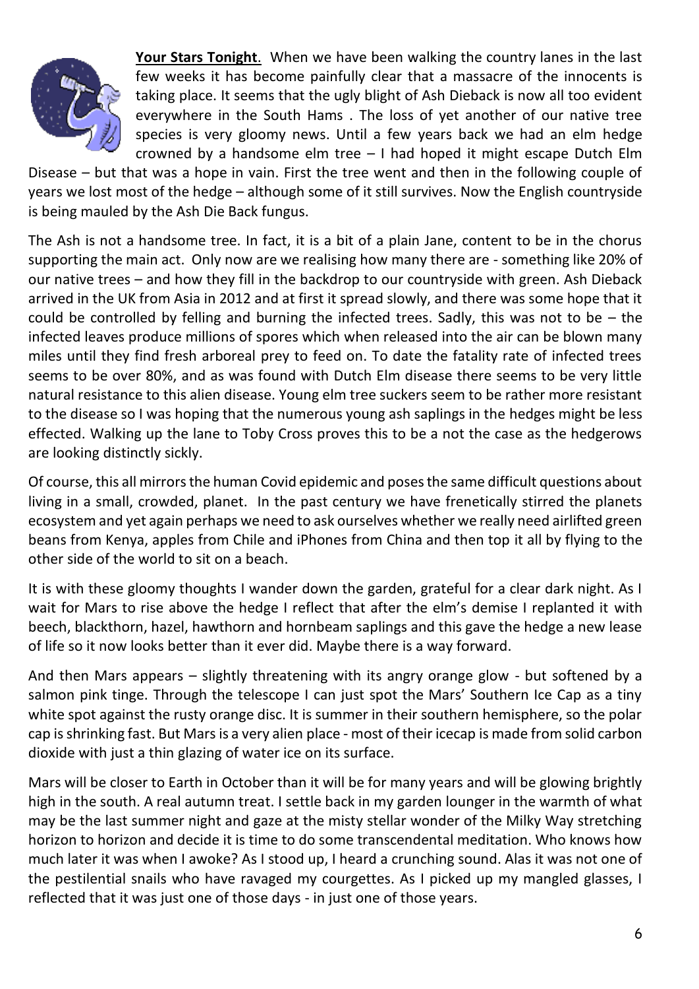

**Your Stars Tonight**. When we have been walking the country lanes in the last few weeks it has become painfully clear that a massacre of the innocents is taking place. It seems that the ugly blight of Ash Dieback is now all too evident everywhere in the South Hams . The loss of yet another of our native tree species is very gloomy news. Until a few years back we had an elm hedge crowned by a handsome elm tree – I had hoped it might escape Dutch Elm

Disease – but that was a hope in vain. First the tree went and then in the following couple of years we lost most of the hedge – although some of it still survives. Now the English countryside is being mauled by the Ash Die Back fungus.

The Ash is not a handsome tree. In fact, it is a bit of a plain Jane, content to be in the chorus supporting the main act. Only now are we realising how many there are - something like 20% of our native trees – and how they fill in the backdrop to our countryside with green. Ash Dieback arrived in the UK from Asia in 2012 and at first it spread slowly, and there was some hope that it could be controlled by felling and burning the infected trees. Sadly, this was not to be  $-$  the infected leaves produce millions of spores which when released into the air can be blown many miles until they find fresh arboreal prey to feed on. To date the fatality rate of infected trees seems to be over 80%, and as was found with Dutch Elm disease there seems to be very little natural resistance to this alien disease. Young elm tree suckers seem to be rather more resistant to the disease so I was hoping that the numerous young ash saplings in the hedges might be less effected. Walking up the lane to Toby Cross proves this to be a not the case as the hedgerows are looking distinctly sickly.

Of course, this all mirrors the human Covid epidemic and poses the same difficult questions about living in a small, crowded, planet. In the past century we have frenetically stirred the planets ecosystem and yet again perhaps we need to ask ourselves whether we really need airlifted green beans from Kenya, apples from Chile and iPhones from China and then top it all by flying to the other side of the world to sit on a beach.

It is with these gloomy thoughts I wander down the garden, grateful for a clear dark night. As I wait for Mars to rise above the hedge I reflect that after the elm's demise I replanted it with beech, blackthorn, hazel, hawthorn and hornbeam saplings and this gave the hedge a new lease of life so it now looks better than it ever did. Maybe there is a way forward.

And then Mars appears – slightly threatening with its angry orange glow - but softened by a salmon pink tinge. Through the telescope I can just spot the Mars' Southern Ice Cap as a tiny white spot against the rusty orange disc. It is summer in their southern hemisphere, so the polar cap is shrinking fast. But Mars is a very alien place - most of their icecap is made from solid carbon dioxide with just a thin glazing of water ice on its surface.

Mars will be closer to Earth in October than it will be for many years and will be glowing brightly high in the south. A real autumn treat. I settle back in my garden lounger in the warmth of what may be the last summer night and gaze at the misty stellar wonder of the Milky Way stretching horizon to horizon and decide it is time to do some transcendental meditation. Who knows how much later it was when I awoke? As I stood up, I heard a crunching sound. Alas it was not one of the pestilential snails who have ravaged my courgettes. As I picked up my mangled glasses, I reflected that it was just one of those days - in just one of those years.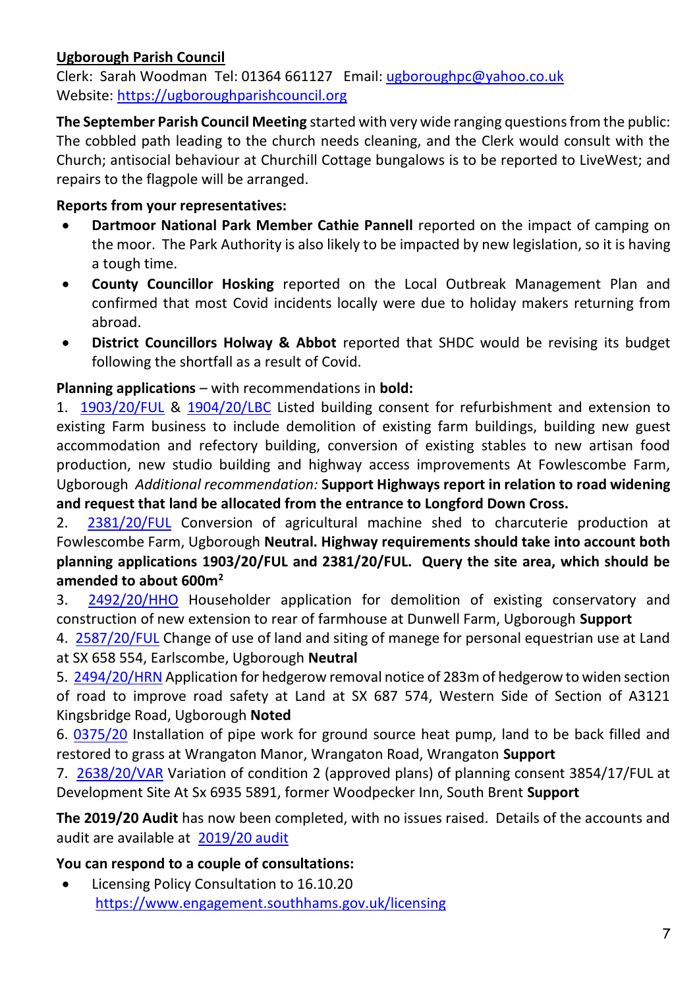# **Ugborough Parish Council**

Clerk: Sarah Woodman Tel: 01364 661127 Email: [ugboroughpc@yahoo.co.uk](file:///C:/Users/User/Documents/newsletter/ugboroughpc@yahoo.co.uk) Website[: https://ugboroughparishcouncil.org](https://ugboroughparishcouncil.org/)

**The September Parish Council Meeting** started with very wide ranging questions from the public: The cobbled path leading to the church needs cleaning, and the Clerk would consult with the Church; antisocial behaviour at Churchill Cottage bungalows is to be reported to LiveWest; and repairs to the flagpole will be arranged.

# **Reports from your representatives:**

- **Dartmoor National Park Member Cathie Pannell** reported on the impact of camping on the moor. The Park Authority is also likely to be impacted by new legislation, so it is having a tough time.
- **County Councillor Hosking** reported on the Local Outbreak Management Plan and confirmed that most Covid incidents locally were due to holiday makers returning from abroad.
- **District Councillors Holway & Abbot** reported that SHDC would be revising its budget following the shortfall as a result of Covid.

**Planning applications** – with recommendations in **bold:** 

1. [1903/20/FUL](http://apps.southhams.gov.uk/PlanningSearchMVC/Home/Details/201903) & [1904/20/LBC](http://apps.southhams.gov.uk/PlanningSearchMVC/Home/Details/201904) Listed building consent for refurbishment and extension to existing Farm business to include demolition of existing farm buildings, building new guest accommodation and refectory building, conversion of existing stables to new artisan food production, new studio building and highway access improvements At Fowlescombe Farm, Ugborough *Additional recommendation:* **Support Highways report in relation to road widening and request that land be allocated from the entrance to Longford Down Cross.** 

2. [2381/20/FUL](http://apps.southhams.gov.uk/PlanningSearchMVC/Home/Details/202381) Conversion of agricultural machine shed to charcuterie production at Fowlescombe Farm, Ugborough **Neutral. Highway requirements should take into account both planning applications 1903/20/FUL and 2381/20/FUL. Query the site area, which should be amended to about 600m<sup>2</sup>**

3. [2492/20/HHO](http://apps.southhams.gov.uk/PlanningSearchMVC/Home/Details/202492) Householder application for demolition of existing conservatory and construction of new extension to rear of farmhouse at Dunwell Farm, Ugborough **Support**

4. [2587/20/FUL](http://apps.southhams.gov.uk/PlanningSearchMVC/Home/Details/202587) Change of use of land and siting of manege for personal equestrian use at Land at SX 658 554, Earlscombe, Ugborough **Neutral**

5. [2494/20/HRN](http://apps.southhams.gov.uk/PlanningSearchMVC/Home/Details/202494) Application for hedgerow removal notice of 283m of hedgerow to widen section of road to improve road safety at Land at SX 687 574, Western Side of Section of A3121 Kingsbridge Road, Ugborough **Noted**

6. [0375/20](https://www.dartmoor.gov.uk/living-and-working/planning/search-for-an-application/db-links/detailed-application-result?AppNo=0375%2F20) Installation of pipe work for ground source heat pump, land to be back filled and restored to grass at Wrangaton Manor, Wrangaton Road, Wrangaton **Support**

7. [2638/20/VAR](http://apps.southhams.gov.uk/PlanningSearchMVC/Home/Details/202638) Variation of condition 2 (approved plans) of planning consent 3854/17/FUL at Development Site At Sx 6935 5891, former Woodpecker Inn, South Brent **Support**

**The 2019/20 Audit** has now been completed, with no issues raised. Details of the accounts and audit are available at [2019/20 audit](https://ugboroughparishcouncil.org/parish-council-accounts/2019-2020-audit/) 

# **You can respond to a couple of consultations:**

• Licensing Policy Consultation to 16.10.20 <https://www.engagement.southhams.gov.uk/licensing>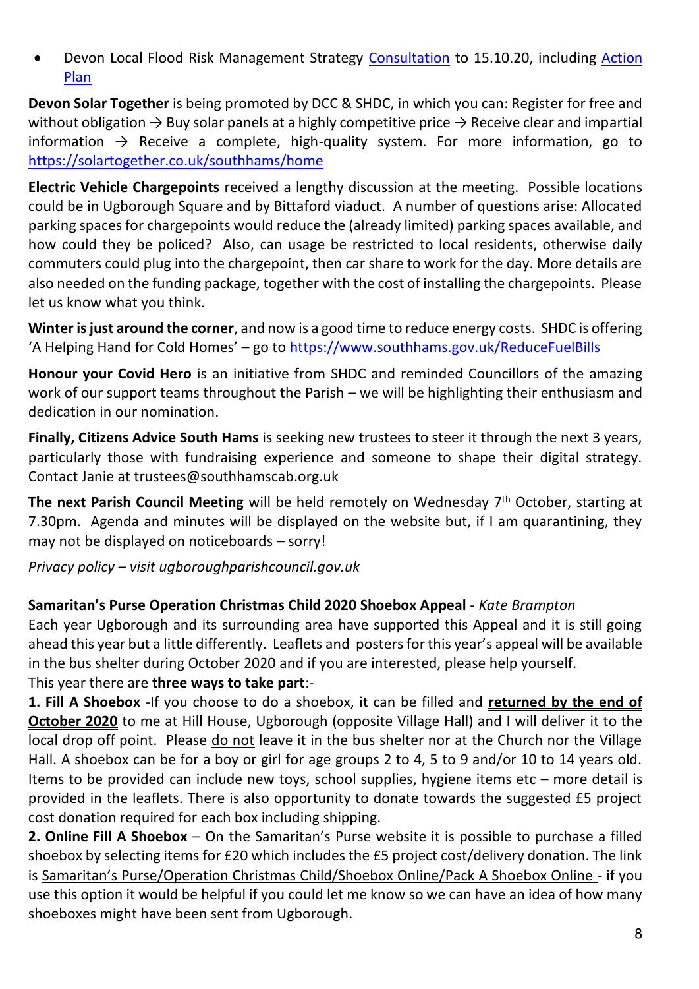Devon Local Flood Risk Management Strategy [Consultation](https://www.devon.gov.uk/haveyoursay/consultations/devon-local-flood-risk-management-strategy/) to 15.10.20, including Action [Plan](https://www.devon.gov.uk/floodriskmanagement/action-plan/)

**Devon Solar Together** is being promoted by DCC & SHDC, in which you can: Register for free and without obligation  $\rightarrow$  Buy solar panels at a highly competitive price  $\rightarrow$  Receive clear and impartial information  $\rightarrow$  Receive a complete, high-quality system. For more information, go to <https://solartogether.co.uk/southhams/home>

**Electric Vehicle Chargepoints** received a lengthy discussion at the meeting. Possible locations could be in Ugborough Square and by Bittaford viaduct. A number of questions arise: Allocated parking spaces for chargepoints would reduce the (already limited) parking spaces available, and how could they be policed? Also, can usage be restricted to local residents, otherwise daily commuters could plug into the chargepoint, then car share to work for the day. More details are also needed on the funding package, together with the cost of installing the chargepoints. Please let us know what you think.

**Winter is just around the corner**, and now is a good time to reduce energy costs. SHDC is offering 'A Helping Hand for Cold Homes' - go t[o https://www.southhams.gov.uk/ReduceFuelBills](https://www.southhams.gov.uk/ReduceFuelBills)

**Honour your Covid Hero** is an initiative from SHDC and reminded Councillors of the amazing work of our support teams throughout the Parish – we will be highlighting their enthusiasm and dedication in our nomination.

**Finally, Citizens Advice South Hams** is seeking new trustees to steer it through the next 3 years, particularly those with fundraising experience and someone to shape their digital strategy. Contact Janie at trustees@southhamscab.org.uk

**The next Parish Council Meeting** will be held remotely on Wednesday 7th October, starting at 7.30pm. Agenda and minutes will be displayed on the website but, if I am quarantining, they may not be displayed on noticeboards – sorry!

*Privacy policy – visit ugboroughparishcouncil.gov.uk*

# **Samaritan's Purse Operation Christmas Child 2020 Shoebox Appeal** - *Kate Brampton*

Each year Ugborough and its surrounding area have supported this Appeal and it is still going ahead this year but a little differently. Leaflets and posters for this year's appeal will be available in the bus shelter during October 2020 and if you are interested, please help yourself.

This year there are **three ways to take part**:-

**1. Fill A Shoebox** -If you choose to do a shoebox, it can be filled and **returned by the end of October 2020** to me at Hill House, Ugborough (opposite Village Hall) and I will deliver it to the local drop off point. Please do not leave it in the bus shelter nor at the Church nor the Village Hall. A shoebox can be for a boy or girl for age groups 2 to 4, 5 to 9 and/or 10 to 14 years old. Items to be provided can include new toys, school supplies, hygiene items etc – more detail is provided in the leaflets. There is also opportunity to donate towards the suggested £5 project cost donation required for each box including shipping.

**2. Online Fill A Shoebox** – On the Samaritan's Purse website it is possible to purchase a filled shoebox by selecting items for £20 which includes the £5 project cost/delivery donation. The link is Samaritan's Purse/Operation Christmas Child/Shoebox Online/Pack A Shoebox Online - if you use this option it would be helpful if you could let me know so we can have an idea of how many shoeboxes might have been sent from Ugborough.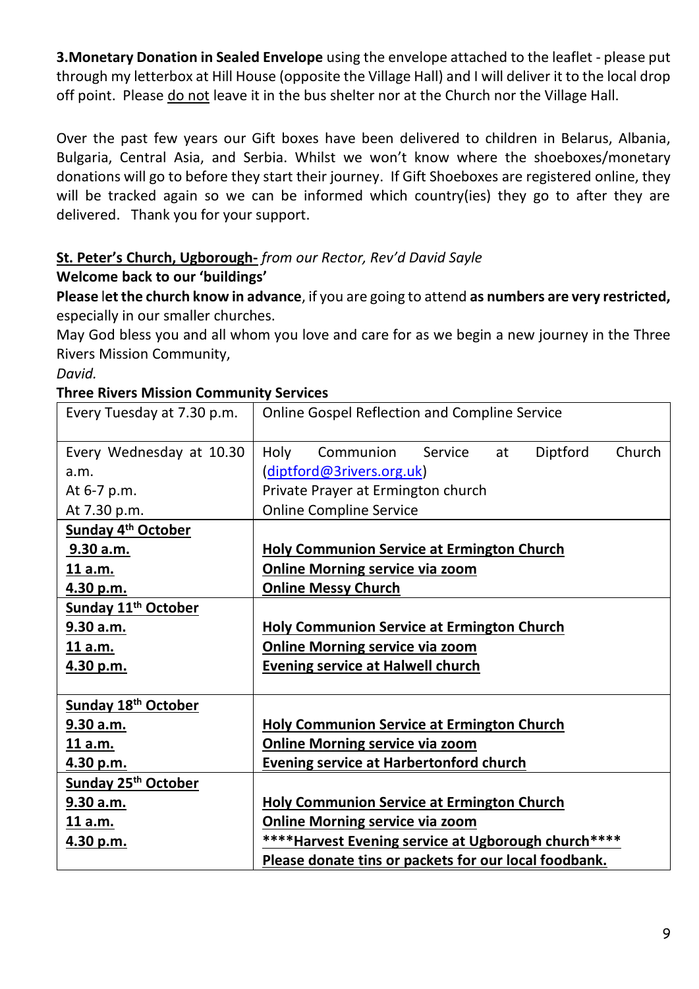**3.Monetary Donation in Sealed Envelope** using the envelope attached to the leaflet - please put through my letterbox at Hill House (opposite the Village Hall) and I will deliver it to the local drop off point. Please do not leave it in the bus shelter nor at the Church nor the Village Hall.

Over the past few years our Gift boxes have been delivered to children in Belarus, Albania, Bulgaria, Central Asia, and Serbia. Whilst we won't know where the shoeboxes/monetary donations will go to before they start their journey. If Gift Shoeboxes are registered online, they will be tracked again so we can be informed which country(ies) they go to after they are delivered. Thank you for your support.

# **St. Peter's Church, Ugborough-** *from our Rector, Rev'd David Sayle* **Welcome back to our 'buildings'**

**Please** l**et the church know in advance**, if you are going to attend **as numbers are very restricted,** especially in our smaller churches.

May God bless you and all whom you love and care for as we begin a new journey in the Three Rivers Mission Community,

*David.*

| Every Tuesday at 7.30 p.m.      | Online Gospel Reflection and Compline Service            |
|---------------------------------|----------------------------------------------------------|
| Every Wednesday at 10.30        | Diptford<br>Church<br>Communion<br>Service<br>Holy<br>at |
| a.m.                            | (diptford@3rivers.org.uk)                                |
| At 6-7 p.m.                     | Private Prayer at Ermington church                       |
| At 7.30 p.m.                    | <b>Online Compline Service</b>                           |
| Sunday 4 <sup>th</sup> October  |                                                          |
| 9.30 a.m.                       | <b>Holy Communion Service at Ermington Church</b>        |
| 11 a.m.                         | <b>Online Morning service via zoom</b>                   |
| 4.30 p.m.                       | <b>Online Messy Church</b>                               |
| Sunday 11 <sup>th</sup> October |                                                          |
| 9.30 a.m.                       | <b>Holy Communion Service at Ermington Church</b>        |
| 11 a.m.                         | <b>Online Morning service via zoom</b>                   |
| 4.30 p.m.                       | <b>Evening service at Halwell church</b>                 |
|                                 |                                                          |
| Sunday 18 <sup>th</sup> October |                                                          |
| 9.30 a.m.                       | <b>Holy Communion Service at Ermington Church</b>        |
| 11 a.m.                         | <b>Online Morning service via zoom</b>                   |
| 4.30 p.m.                       | <b>Evening service at Harbertonford church</b>           |
| Sunday 25th October             |                                                          |
| 9.30 a.m.                       | <b>Holy Communion Service at Ermington Church</b>        |
| 11 a.m.                         | <b>Online Morning service via zoom</b>                   |
| 4.30 p.m.                       | ****Harvest Evening service at Ugborough church****      |
|                                 | Please donate tins or packets for our local foodbank.    |

#### **Three Rivers Mission Community Services**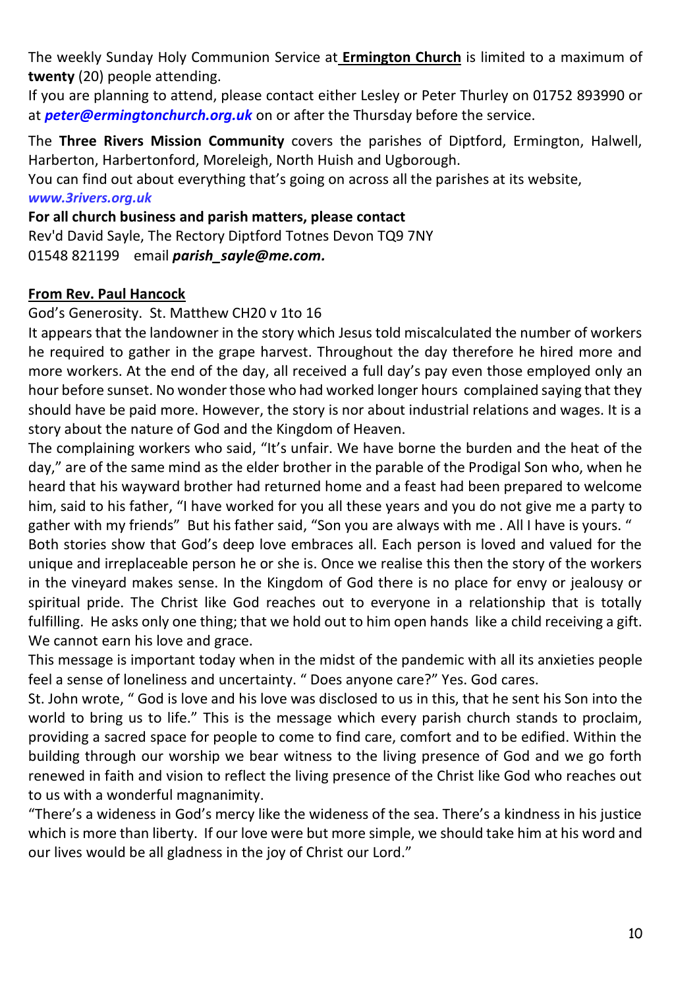The weekly Sunday Holy Communion Service at **Ermington Church** is limited to a maximum of **twenty** (20) people attending.

If you are planning to attend, please contact either Lesley or Peter Thurley on 01752 893990 or at *[peter@ermingtonchurch.org.uk](mailto:peter@ermingtonchurch.org.uk)* on or after the Thursday before the service.

The **Three Rivers Mission Community** covers the parishes of Diptford, Ermington, Halwell, Harberton, Harbertonford, Moreleigh, North Huish and Ugborough.

You can find out about everything that's going on across all the parishes at its website,

#### *www.3rivers.org.uk*

#### **For all church business and parish matters, please contact**

Rev'd David Sayle, The Rectory Diptford Totnes Devon TQ9 7NY 01548 821199 email *[parish\\_sayle@me.com.](mailto:parish_sayle@me.com)*

#### **From Rev. Paul Hancock**

#### God's Generosity. St. Matthew CH20 v 1to 16

It appears that the landowner in the story which Jesus told miscalculated the number of workers he required to gather in the grape harvest. Throughout the day therefore he hired more and more workers. At the end of the day, all received a full day's pay even those employed only an hour before sunset. No wonder those who had worked longer hours complained saying that they should have be paid more. However, the story is nor about industrial relations and wages. It is a story about the nature of God and the Kingdom of Heaven.

The complaining workers who said, "It's unfair. We have borne the burden and the heat of the day," are of the same mind as the elder brother in the parable of the Prodigal Son who, when he heard that his wayward brother had returned home and a feast had been prepared to welcome him, said to his father, "I have worked for you all these years and you do not give me a party to gather with my friends" But his father said, "Son you are always with me . All I have is yours. "

Both stories show that God's deep love embraces all. Each person is loved and valued for the unique and irreplaceable person he or she is. Once we realise this then the story of the workers in the vineyard makes sense. In the Kingdom of God there is no place for envy or jealousy or spiritual pride. The Christ like God reaches out to everyone in a relationship that is totally fulfilling. He asks only one thing; that we hold out to him open hands like a child receiving a gift. We cannot earn his love and grace.

This message is important today when in the midst of the pandemic with all its anxieties people feel a sense of loneliness and uncertainty. " Does anyone care?" Yes. God cares.

St. John wrote, " God is love and his love was disclosed to us in this, that he sent his Son into the world to bring us to life." This is the message which every parish church stands to proclaim, providing a sacred space for people to come to find care, comfort and to be edified. Within the building through our worship we bear witness to the living presence of God and we go forth renewed in faith and vision to reflect the living presence of the Christ like God who reaches out to us with a wonderful magnanimity.

"There's a wideness in God's mercy like the wideness of the sea. There's a kindness in his justice which is more than liberty. If our love were but more simple, we should take him at his word and our lives would be all gladness in the joy of Christ our Lord."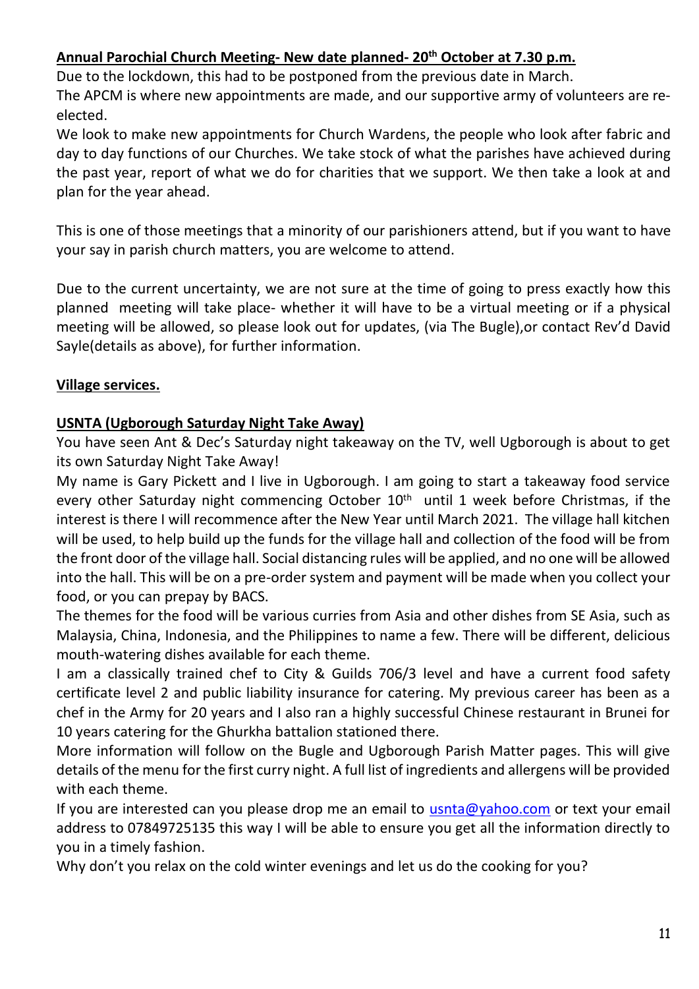# **Annual Parochial Church Meeting- New date planned- 20th October at 7.30 p.m.**

Due to the lockdown, this had to be postponed from the previous date in March.

The APCM is where new appointments are made, and our supportive army of volunteers are reelected.

We look to make new appointments for Church Wardens, the people who look after fabric and day to day functions of our Churches. We take stock of what the parishes have achieved during the past year, report of what we do for charities that we support. We then take a look at and plan for the year ahead.

This is one of those meetings that a minority of our parishioners attend, but if you want to have your say in parish church matters, you are welcome to attend.

Due to the current uncertainty, we are not sure at the time of going to press exactly how this planned meeting will take place- whether it will have to be a virtual meeting or if a physical meeting will be allowed, so please look out for updates, (via The Bugle),or contact Rev'd David Sayle(details as above), for further information.

# **Village services.**

# **USNTA (Ugborough Saturday Night Take Away)**

You have seen Ant & Dec's Saturday night takeaway on the TV, well Ugborough is about to get its own Saturday Night Take Away!

My name is Gary Pickett and I live in Ugborough. I am going to start a takeaway food service every other Saturday night commencing October  $10<sup>th</sup>$  until 1 week before Christmas, if the interest is there I will recommence after the New Year until March 2021. The village hall kitchen will be used, to help build up the funds for the village hall and collection of the food will be from the front door of the village hall. Social distancing rules will be applied, and no one will be allowed into the hall. This will be on a pre-order system and payment will be made when you collect your food, or you can prepay by BACS.

The themes for the food will be various curries from Asia and other dishes from SE Asia, such as Malaysia, China, Indonesia, and the Philippines to name a few. There will be different, delicious mouth-watering dishes available for each theme.

I am a classically trained chef to City & Guilds 706/3 level and have a current food safety certificate level 2 and public liability insurance for catering. My previous career has been as a chef in the Army for 20 years and I also ran a highly successful Chinese restaurant in Brunei for 10 years catering for the Ghurkha battalion stationed there.

More information will follow on the Bugle and Ugborough Parish Matter pages. This will give details of the menu for the first curry night. A full list of ingredients and allergens will be provided with each theme.

If you are interested can you please drop me an email to [usnta@yahoo.com](mailto:usnta@yahoo.com) or text your email address to 07849725135 this way I will be able to ensure you get all the information directly to you in a timely fashion.

Why don't you relax on the cold winter evenings and let us do the cooking for you?